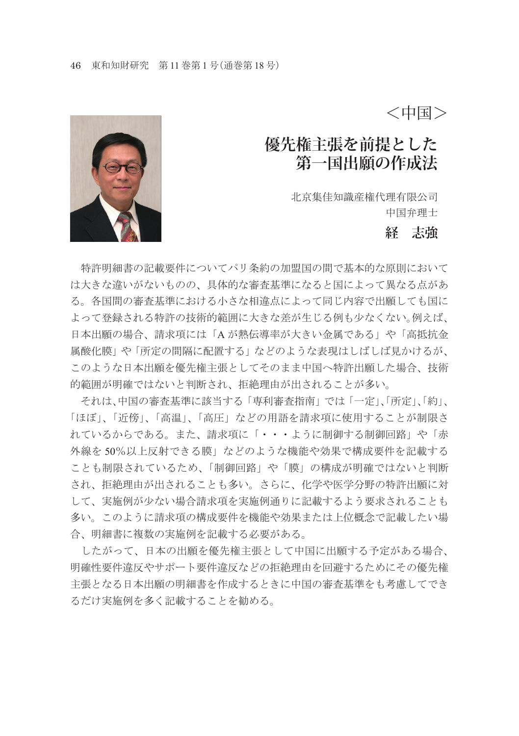<中国>

# **優先権主張を前提とした 第一国出願の作成法**

北京集佳知識産権代理有限公司 中国弁理士

### **経 志強**



 特許明細書の記載要件についてパリ条約の加盟国の間で基本的な原則において け大きた違いがないものの、具体的な審査基準になると国によって異なる点があ る。各国間の審査基準における小さな相違点によって同じ内容で出願しても国に よって登録される特許の技術的範囲に大きな差が生じる例も少なくない。例えば、 日本出願の場合、請求項には「A が熱伝導率が大きい金属である」や「高抵抗金 属酸化膜」や「所定の間隔に配置する」などのような表現はしばしば見かけるが、 このような日本出願を優先権主張としてそのまま中国へ特許出願した場合、技術 的範囲が明確ではないと判断され、拒絶理由が出されることが多い。

 それは、中国の審査基準に該当する「専利審査指南」では「一定」、「所定」、「約」、 「ほぼ」、「近傍」、「高温」、「高圧」などの用語を請求項に使用することが制限さ れているからである。また、請求項に「・・・ように制御する制御回路」や「赤 外線を 50%以上反射できる膜」などのような機能や効果で構成要件を記載する ことも制限されているため、「制御回路」や「膜」の構成が明確ではないと判断 され、拒絶理由が出されることも多い。さらに、化学や医学分野の特許出願に対 して、実施例が少ない場合請求項を実施例通りに記載するよう要求されることも 多い。このように請求項の構成要件を機能や効果または上位概念で記載したい場 合、明細書に複数の実施例を記載する必要がある。

 したがって、日本の出願を優先権主張として中国に出願する予定がある場合、 明確性要件違反やサポート要件違反などの拒絶理由を回避するためにその優先権 主張となる日本出願の明細書を作成するときに中国の審査基準をも考慮してでき るだけ実施例を多く記載することを勧める。